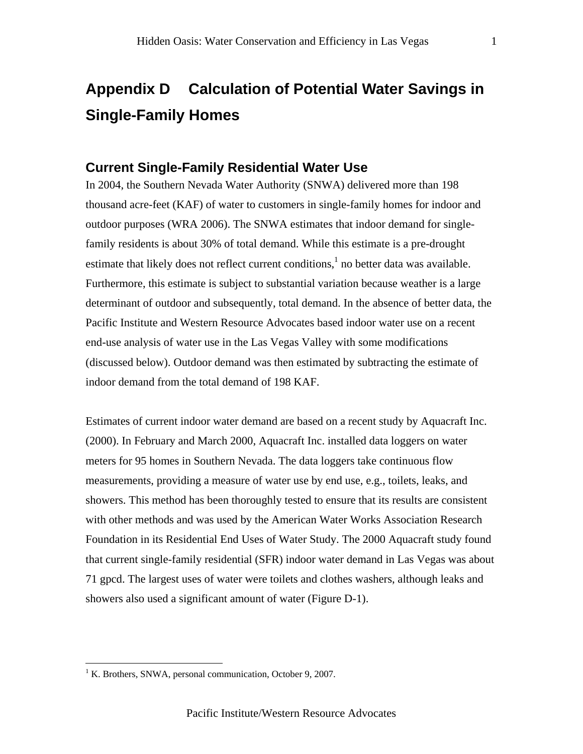## **Appendix D Calculation of Potential Water Savings in Single-Family Homes**

## **Current Single-Family Residential Water Use**

In 2004, the Southern Nevada Water Authority (SNWA) delivered more than 198 thousand acre-feet (KAF) of water to customers in single-family homes for indoor and outdoor purposes (WRA 2006). The SNWA estimates that indoor demand for singlefamily residents is about 30% of total demand. While this estimate is a pre-drought estimate that likely does not reflect current conditions,<sup>1</sup> no better data was available. Furthermore, this estimate is subject to substantial variation because weather is a large determinant of outdoor and subsequently, total demand. In the absence of better data, the Pacific Institute and Western Resource Advocates based indoor water use on a recent end-use analysis of water use in the Las Vegas Valley with some modifications (discussed below). Outdoor demand was then estimated by subtracting the estimate of indoor demand from the total demand of 198 KAF.

Estimates of current indoor water demand are based on a recent study by Aquacraft Inc. (2000). In February and March 2000, Aquacraft Inc. installed data loggers on water meters for 95 homes in Southern Nevada. The data loggers take continuous flow measurements, providing a measure of water use by end use, e.g., toilets, leaks, and showers. This method has been thoroughly tested to ensure that its results are consistent with other methods and was used by the American Water Works Association Research Foundation in its Residential End Uses of Water Study. The 2000 Aquacraft study found that current single-family residential (SFR) indoor water demand in Las Vegas was about 71 gpcd. The largest uses of water were toilets and clothes washers, although leaks and showers also used a significant amount of water (Figure D-1).

 $\overline{a}$ 

<sup>&</sup>lt;sup>1</sup> K. Brothers, SNWA, personal communication, October 9, 2007.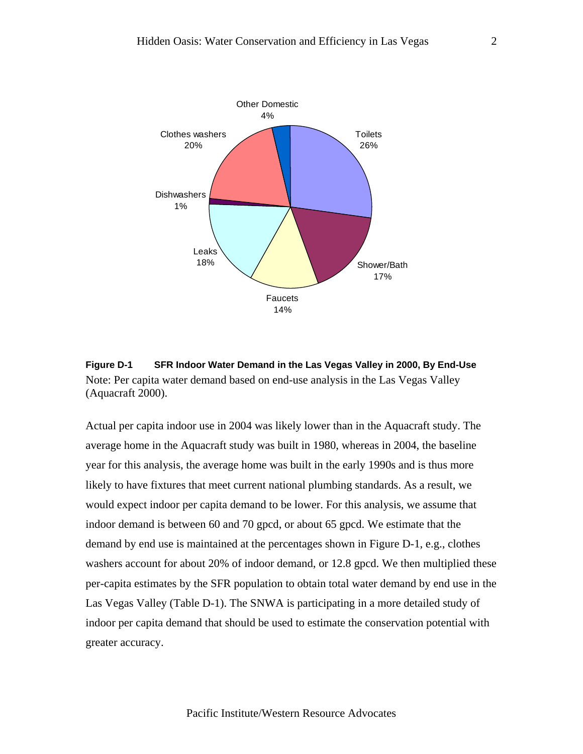

**Figure D-1 SFR Indoor Water Demand in the Las Vegas Valley in 2000, By End-Use**  Note: Per capita water demand based on end-use analysis in the Las Vegas Valley (Aquacraft 2000).

Actual per capita indoor use in 2004 was likely lower than in the Aquacraft study. The average home in the Aquacraft study was built in 1980, whereas in 2004, the baseline year for this analysis, the average home was built in the early 1990s and is thus more likely to have fixtures that meet current national plumbing standards. As a result, we would expect indoor per capita demand to be lower. For this analysis, we assume that indoor demand is between 60 and 70 gpcd, or about 65 gpcd. We estimate that the demand by end use is maintained at the percentages shown in Figure D-1, e.g., clothes washers account for about 20% of indoor demand, or 12.8 gpcd. We then multiplied these per-capita estimates by the SFR population to obtain total water demand by end use in the Las Vegas Valley (Table D-1). The SNWA is participating in a more detailed study of indoor per capita demand that should be used to estimate the conservation potential with greater accuracy.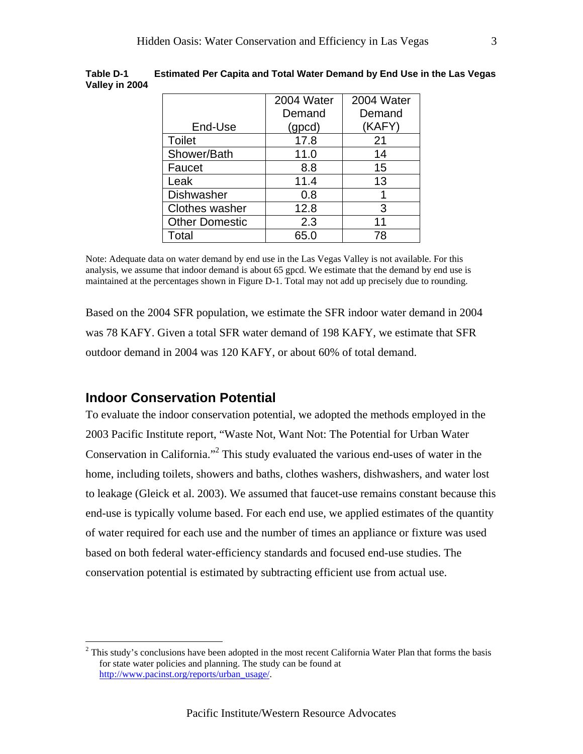| 2004 Water | 2004 Water |
|------------|------------|
| Demand     | Demand     |
| (gpcd)     | (KAFY)     |
| 17.8       | 21         |
| 11.0       | 14         |
| 8.8        | 15         |
| 11.4       | 13         |
| 0.8        |            |
| 12.8       | 3          |
| 2.3        | 11         |
| 65.0       | 78         |
|            |            |

**Table D-1 Estimated Per Capita and Total Water Demand by End Use in the Las Vegas Valley in 2004** 

Note: Adequate data on water demand by end use in the Las Vegas Valley is not available. For this analysis, we assume that indoor demand is about 65 gpcd. We estimate that the demand by end use is maintained at the percentages shown in Figure D-1. Total may not add up precisely due to rounding.

Based on the 2004 SFR population, we estimate the SFR indoor water demand in 2004 was 78 KAFY. Given a total SFR water demand of 198 KAFY, we estimate that SFR outdoor demand in 2004 was 120 KAFY, or about 60% of total demand.

## **Indoor Conservation Potential**

 $\overline{a}$ 

To evaluate the indoor conservation potential, we adopted the methods employed in the 2003 Pacific Institute report, "Waste Not, Want Not: The Potential for Urban Water Conservation in California."<sup>2</sup> This study evaluated the various end-uses of water in the home, including toilets, showers and baths, clothes washers, dishwashers, and water lost to leakage (Gleick et al. 2003). We assumed that faucet-use remains constant because this end-use is typically volume based. For each end use, we applied estimates of the quantity of water required for each use and the number of times an appliance or fixture was used based on both federal water-efficiency standards and focused end-use studies. The conservation potential is estimated by subtracting efficient use from actual use.

 $2^2$  This study's conclusions have been adopted in the most recent California Water Plan that forms the basis for state water policies and planning. The study can be found at http://www.pacinst.org/reports/urban\_usage/.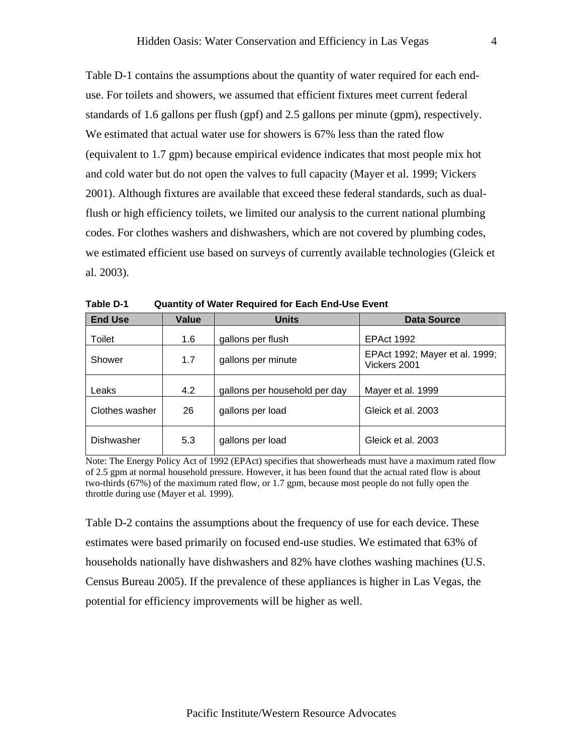Table D-1 contains the assumptions about the quantity of water required for each enduse. For toilets and showers, we assumed that efficient fixtures meet current federal standards of 1.6 gallons per flush (gpf) and 2.5 gallons per minute (gpm), respectively. We estimated that actual water use for showers is 67% less than the rated flow (equivalent to 1.7 gpm) because empirical evidence indicates that most people mix hot and cold water but do not open the valves to full capacity (Mayer et al. 1999; Vickers 2001). Although fixtures are available that exceed these federal standards, such as dualflush or high efficiency toilets, we limited our analysis to the current national plumbing codes. For clothes washers and dishwashers, which are not covered by plumbing codes, we estimated efficient use based on surveys of currently available technologies (Gleick et al. 2003).

| <b>End Use</b> | <b>Value</b> | <b>Units</b>                  | Data Source                                    |
|----------------|--------------|-------------------------------|------------------------------------------------|
| Toilet         | 1.6          | gallons per flush             | <b>EPAct 1992</b>                              |
| Shower         | 1.7          | gallons per minute            | EPAct 1992; Mayer et al. 1999;<br>Vickers 2001 |
| Leaks          | 4.2          | gallons per household per day | Mayer et al. 1999                              |
| Clothes washer | 26           | gallons per load              | Gleick et al. 2003                             |
| Dishwasher     | 5.3          | gallons per load              | Gleick et al. 2003                             |

**Table D-1 Quantity of Water Required for Each End-Use Event** 

Note: The Energy Policy Act of 1992 (EPAct) specifies that showerheads must have a maximum rated flow of 2.5 gpm at normal household pressure. However, it has been found that the actual rated flow is about two-thirds (67%) of the maximum rated flow, or 1.7 gpm, because most people do not fully open the throttle during use (Mayer et al. 1999).

Table D-2 contains the assumptions about the frequency of use for each device. These estimates were based primarily on focused end-use studies. We estimated that 63% of households nationally have dishwashers and 82% have clothes washing machines (U.S. Census Bureau 2005). If the prevalence of these appliances is higher in Las Vegas, the potential for efficiency improvements will be higher as well.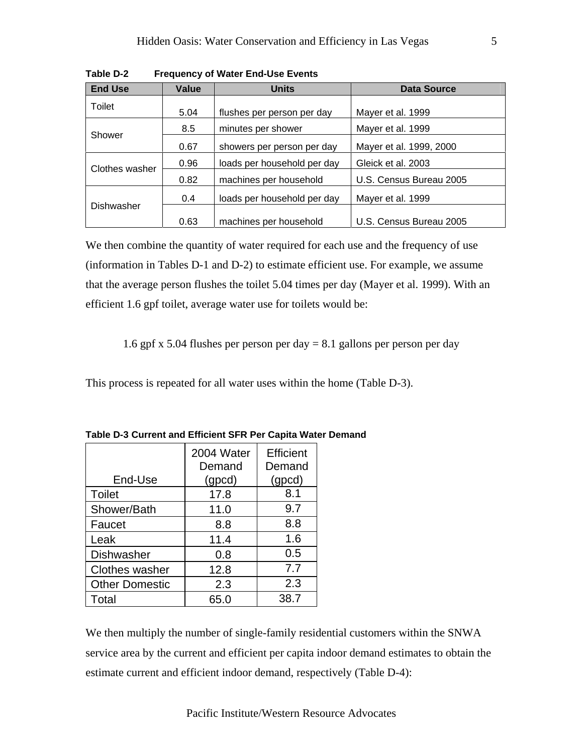| <b>End Use</b> | Value | <b>Units</b>                | <b>Data Source</b>      |  |
|----------------|-------|-----------------------------|-------------------------|--|
| Toilet         | 5.04  | flushes per person per day  | Mayer et al. 1999       |  |
|                | 8.5   | minutes per shower          | Mayer et al. 1999       |  |
| Shower         | 0.67  | showers per person per day  | Mayer et al. 1999, 2000 |  |
| Clothes washer | 0.96  | loads per household per day | Gleick et al. 2003      |  |
|                | 0.82  | machines per household      | U.S. Census Bureau 2005 |  |
|                | 0.4   | loads per household per day | Mayer et al. 1999       |  |
| Dishwasher     | 0.63  | machines per household      | U.S. Census Bureau 2005 |  |

**Table D-2 Frequency of Water End-Use Events** 

We then combine the quantity of water required for each use and the frequency of use (information in Tables D-1 and D-2) to estimate efficient use. For example, we assume that the average person flushes the toilet 5.04 times per day (Mayer et al. 1999). With an efficient 1.6 gpf toilet, average water use for toilets would be:

1.6 gpf x 5.04 flushes per person per day  $= 8.1$  gallons per person per day

This process is repeated for all water uses within the home (Table D-3).

|                       | 2004 Water | Efficient |
|-----------------------|------------|-----------|
|                       | Demand     | Demand    |
| End-Use               | (gpcd)     | (gpcd)    |
| <b>Toilet</b>         | 17.8       | 8.1       |
| Shower/Bath           | 11.0       | 9.7       |
| Faucet                | 8.8        | 8.8       |
| Leak                  | 11.4       | 1.6       |
| Dishwasher            | 0.8        | 0.5       |
| <b>Clothes washer</b> | 12.8       | 7.7       |
| <b>Other Domestic</b> | 2.3        | 2.3       |
| Total                 | 65.0       | 38.7      |

**Table D-3 Current and Efficient SFR Per Capita Water Demand** 

We then multiply the number of single-family residential customers within the SNWA service area by the current and efficient per capita indoor demand estimates to obtain the estimate current and efficient indoor demand, respectively (Table D-4):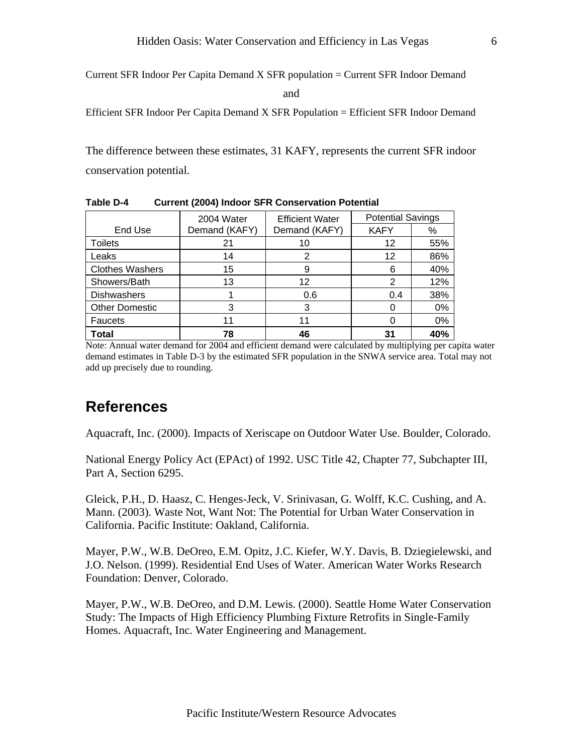Current SFR Indoor Per Capita Demand X SFR population = Current SFR Indoor Demand

and

Efficient SFR Indoor Per Capita Demand X SFR Population = Efficient SFR Indoor Demand

The difference between these estimates, 31 KAFY, represents the current SFR indoor conservation potential.

|                        | 2004 Water    | <b>Efficient Water</b> | <b>Potential Savings</b> |     |
|------------------------|---------------|------------------------|--------------------------|-----|
| End Use                | Demand (KAFY) | Demand (KAFY)          | <b>KAFY</b>              | %   |
| <b>Toilets</b>         | 21            | 10                     | 12                       | 55% |
| Leaks                  | 14            | 2                      | 12                       | 86% |
| <b>Clothes Washers</b> | 15            | 9                      | 6                        | 40% |
| Showers/Bath           | 13            | 12                     | 2                        | 12% |
| <b>Dishwashers</b>     |               | 0.6                    | 0.4                      | 38% |
| <b>Other Domestic</b>  |               | 3                      |                          | 0%  |
| <b>Faucets</b>         | 11            | 11                     |                          | 0%  |
| <b>Total</b>           | 78            | 46                     | 31                       | 40% |

**Table D-4 Current (2004) Indoor SFR Conservation Potential** 

Note: Annual water demand for 2004 and efficient demand were calculated by multiplying per capita water demand estimates in Table D-3 by the estimated SFR population in the SNWA service area. Total may not add up precisely due to rounding.

## **References**

Aquacraft, Inc. (2000). Impacts of Xeriscape on Outdoor Water Use. Boulder, Colorado.

National Energy Policy Act (EPAct) of 1992. USC Title 42, Chapter 77, Subchapter III, Part A, Section 6295.

Gleick, P.H., D. Haasz, C. Henges-Jeck, V. Srinivasan, G. Wolff, K.C. Cushing, and A. Mann. (2003). Waste Not, Want Not: The Potential for Urban Water Conservation in California. Pacific Institute: Oakland, California.

Mayer, P.W., W.B. DeOreo, E.M. Opitz, J.C. Kiefer, W.Y. Davis, B. Dziegielewski, and J.O. Nelson. (1999). Residential End Uses of Water. American Water Works Research Foundation: Denver, Colorado.

Mayer, P.W., W.B. DeOreo, and D.M. Lewis. (2000). Seattle Home Water Conservation Study: The Impacts of High Efficiency Plumbing Fixture Retrofits in Single-Family Homes. Aquacraft, Inc. Water Engineering and Management.